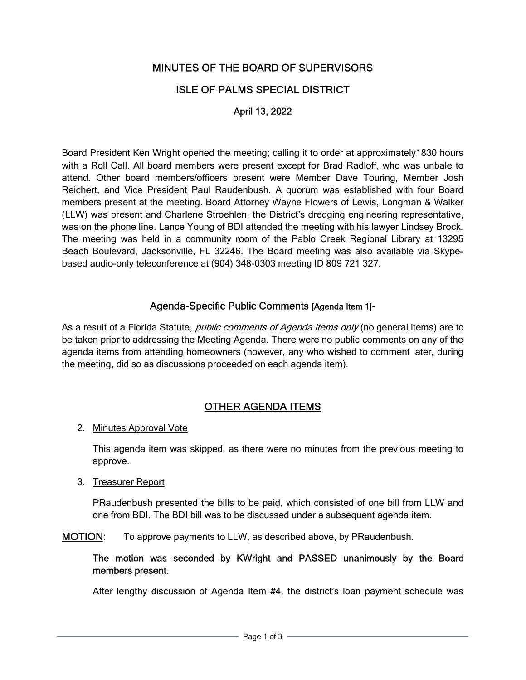# MINUTES OF THE BOARD OF SUPERVISORS

# ISLE OF PALMS SPECIAL DISTRICT

## April 13, 2022

Board President Ken Wright opened the meeting; calling it to order at approximately1830 hours with a Roll Call. All board members were present except for Brad Radloff, who was unbale to attend. Other board members/officers present were Member Dave Touring, Member Josh Reichert, and Vice President Paul Raudenbush. A quorum was established with four Board members present at the meeting. Board Attorney Wayne Flowers of Lewis, Longman & Walker (LLW) was present and Charlene Stroehlen, the District's dredging engineering representative, was on the phone line. Lance Young of BDI attended the meeting with his lawyer Lindsey Brock. The meeting was held in a community room of the Pablo Creek Regional Library at 13295 Beach Boulevard, Jacksonville, FL 32246. The Board meeting was also available via Skypebased audio-only teleconference at (904) 348-0303 meeting ID 809 721 327.

### Agenda-Specific Public Comments [Agenda Item 1]-

As a result of a Florida Statute, *public comments of Agenda items only* (no general items) are to be taken prior to addressing the Meeting Agenda. There were no public comments on any of the agenda items from attending homeowners (however, any who wished to comment later, during the meeting, did so as discussions proceeded on each agenda item).

# OTHER AGENDA ITEMS

#### 2. Minutes Approval Vote

This agenda item was skipped, as there were no minutes from the previous meeting to approve.

#### 3. Treasurer Report

PRaudenbush presented the bills to be paid, which consisted of one bill from LLW and one from BDI. The BDI bill was to be discussed under a subsequent agenda item.

MOTION: To approve payments to LLW, as described above, by PRaudenbush.

#### The motion was seconded by KWright and PASSED unanimously by the Board members present.

After lengthy discussion of Agenda Item #4, the district's loan payment schedule was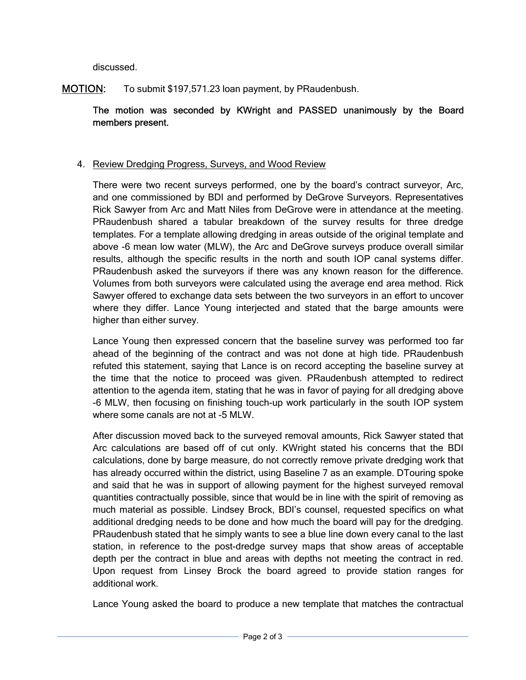discussed.

## MOTION: To submit \$197,571.23 loan payment, by PRaudenbush.

The motion was seconded by KWright and PASSED unanimously by the Board members present.

### 4. Review Dredging Progress, Surveys, and Wood Review

There were two recent surveys performed, one by the board's contract surveyor, Arc, and one commissioned by BDI and performed by DeGrove Surveyors. Representatives Rick Sawyer from Arc and Matt Niles from DeGrove were in attendance at the meeting. PRaudenbush shared a tabular breakdown of the survey results for three dredge templates. For a template allowing dredging in areas outside of the original template and above -6 mean low water (MLW), the Arc and DeGrove surveys produce overall similar results, although the specific results in the north and south IOP canal systems differ. PRaudenbush asked the surveyors if there was any known reason for the difference. Volumes from both surveyors were calculated using the average end area method. Rick Sawyer offered to exchange data sets between the two surveyors in an effort to uncover where they differ. Lance Young interjected and stated that the barge amounts were higher than either survey.

Lance Young then expressed concern that the baseline survey was performed too far ahead of the beginning of the contract and was not done at high tide. PRaudenbush refuted this statement, saying that Lance is on record accepting the baseline survey at the time that the notice to proceed was given. PRaudenbush attempted to redirect attention to the agenda item, stating that he was in favor of paying for all dredging above -6 MLW, then focusing on finishing touch-up work particularly in the south IOP system where some canals are not at -5 MLW.

After discussion moved back to the surveyed removal amounts, Rick Sawyer stated that Arc calculations are based off of cut only. KWright stated his concerns that the BDI calculations, done by barge measure, do not correctly remove private dredging work that has already occurred within the district, using Baseline 7 as an example. DTouring spoke and said that he was in support of allowing payment for the highest surveyed removal quantities contractually possible, since that would be in line with the spirit of removing as much material as possible. Lindsey Brock, BDI's counsel, requested specifics on what additional dredging needs to be done and how much the board will pay for the dredging. PRaudenbush stated that he simply wants to see a blue line down every canal to the last station, in reference to the post-dredge survey maps that show areas of acceptable depth per the contract in blue and areas with depths not meeting the contract in red. Upon request from Linsey Brock the board agreed to provide station ranges for additional work.

Lance Young asked the board to produce a new template that matches the contractual